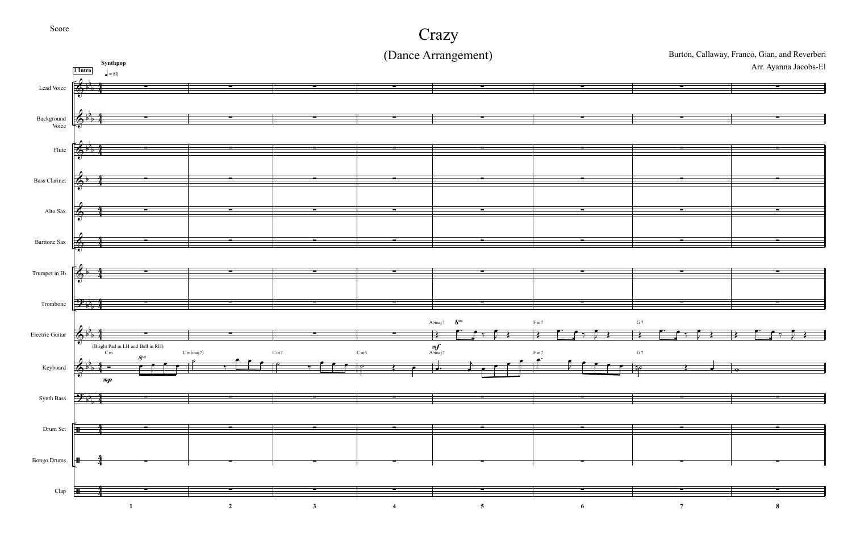

## Burton, Callaway, Franco, Gian, and Reverberi

| the contract of the contract of the contract of the contract of the contract of the contract of the contract of |  |
|-----------------------------------------------------------------------------------------------------------------|--|
|                                                                                                                 |  |
|                                                                                                                 |  |
|                                                                                                                 |  |
|                                                                                                                 |  |
|                                                                                                                 |  |
|                                                                                                                 |  |
|                                                                                                                 |  |

Score

## **Crazy**

(Dance Arrangement)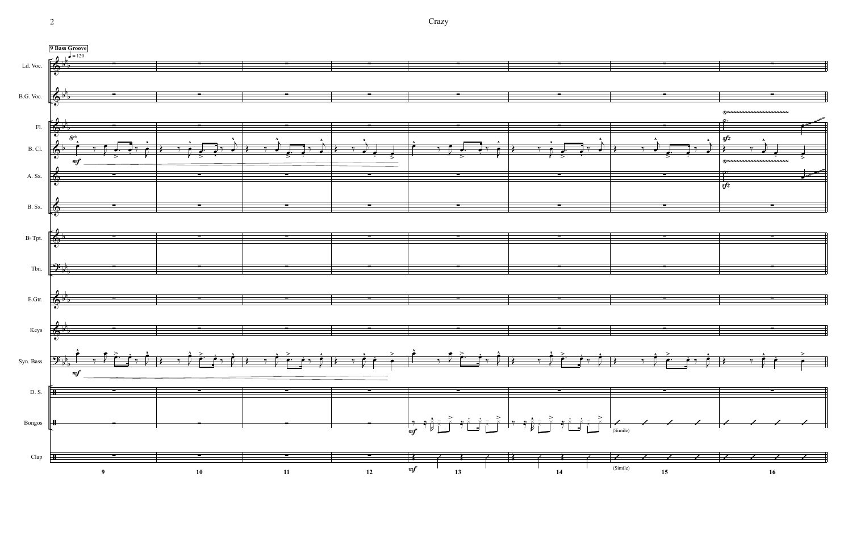

2

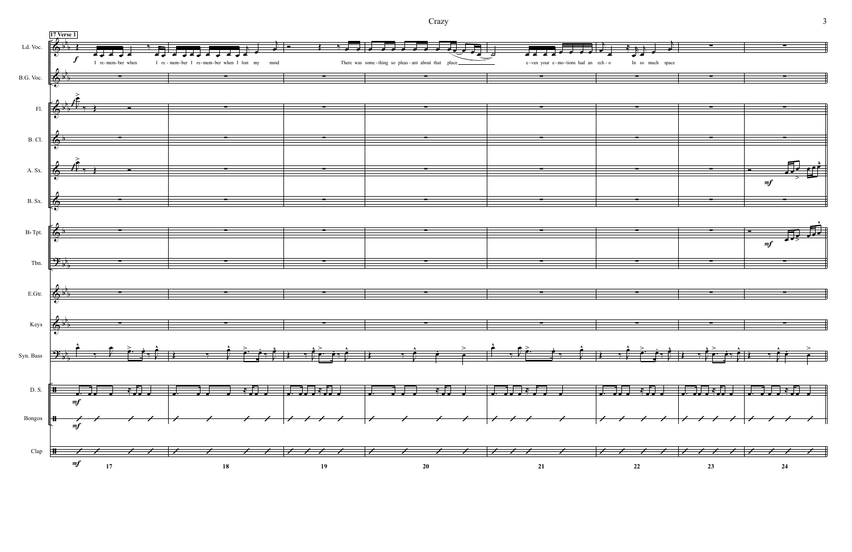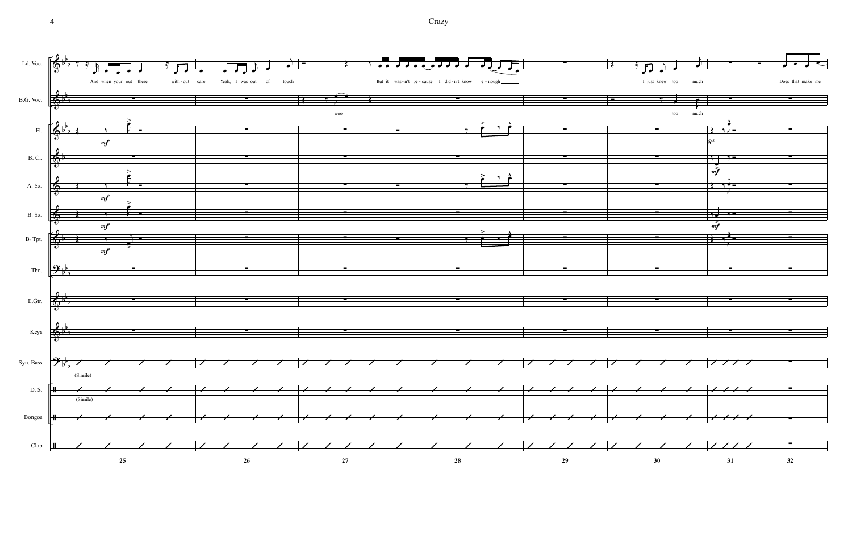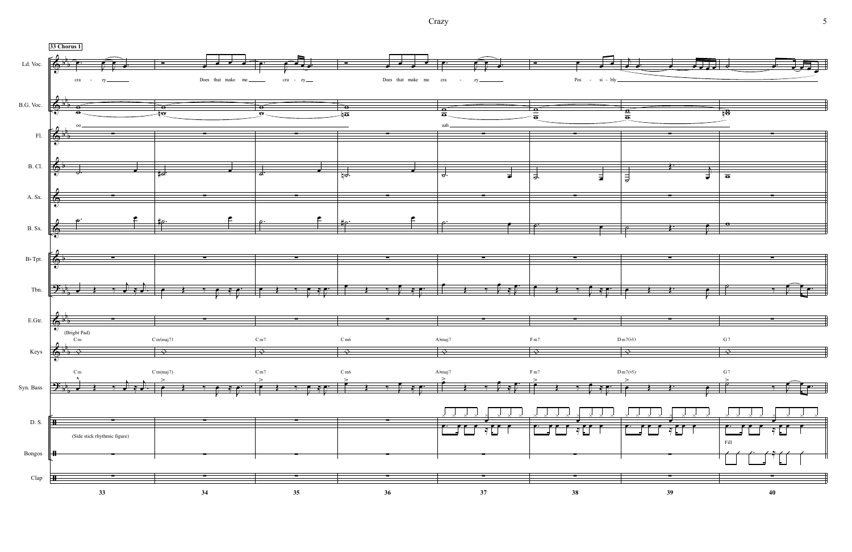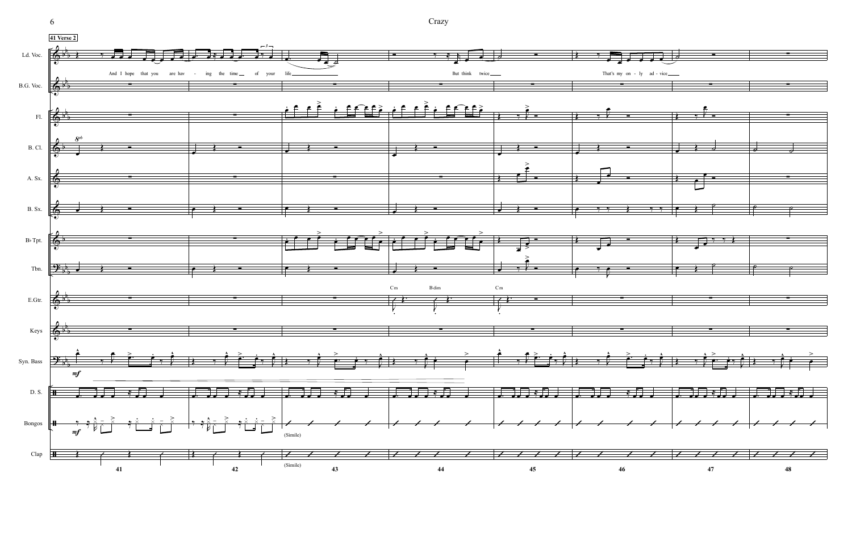

6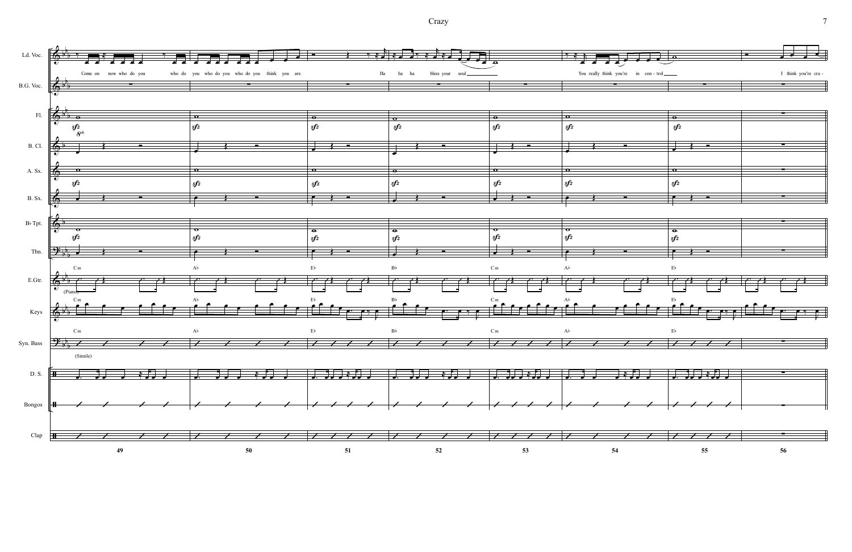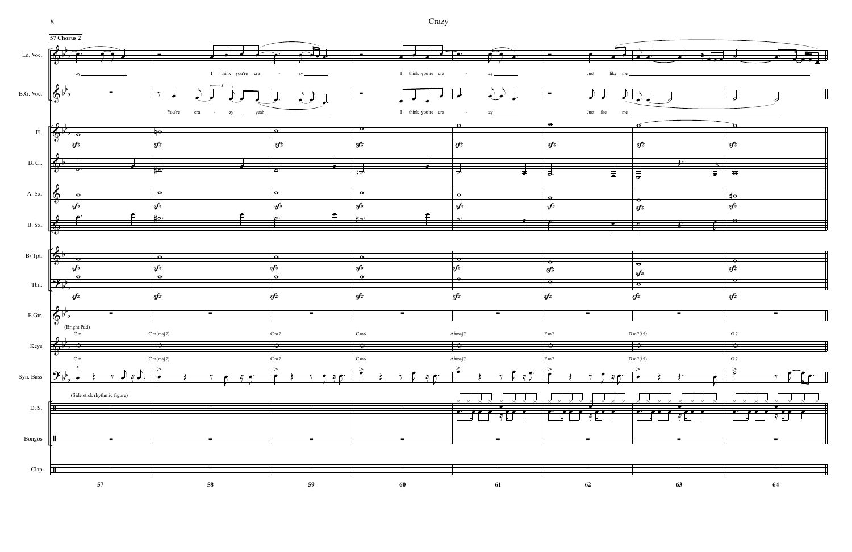

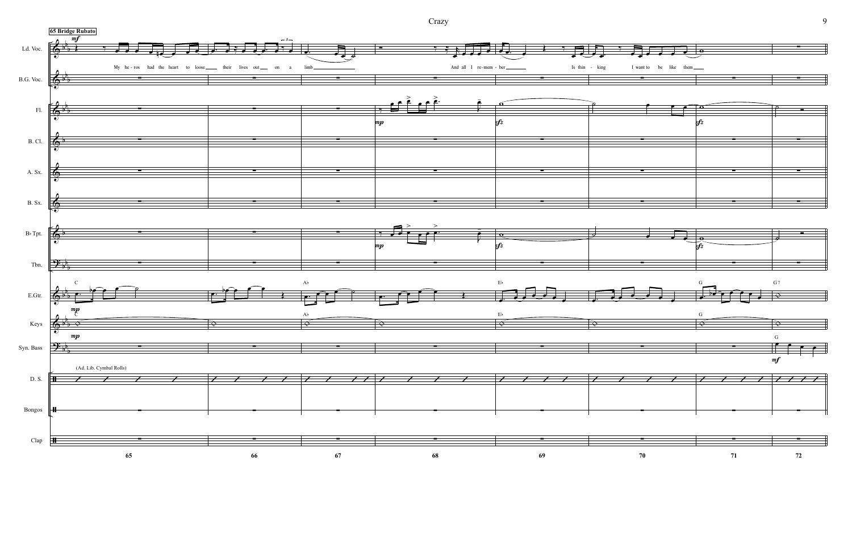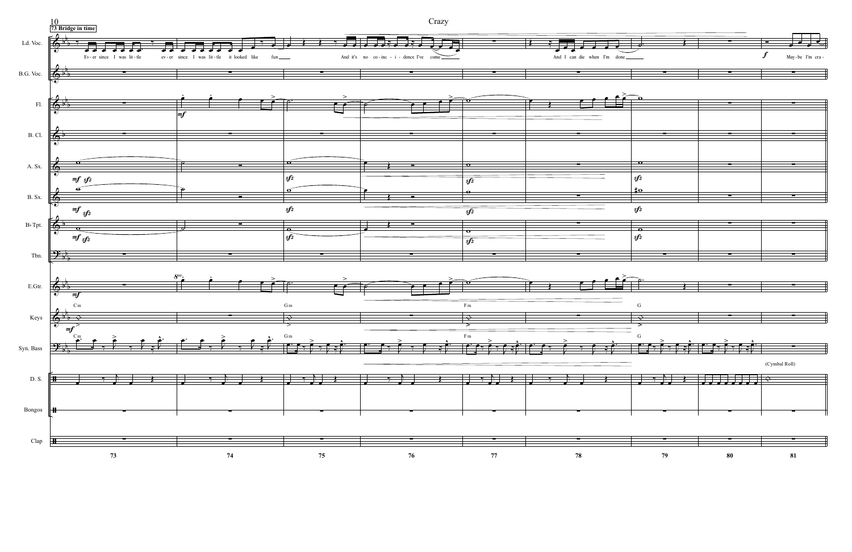

| $\boldsymbol{r}$<br>$s\,\bar{s}$ |  |  |
|----------------------------------|--|--|
|                                  |  |  |
|                                  |  |  |
|                                  |  |  |
|                                  |  |  |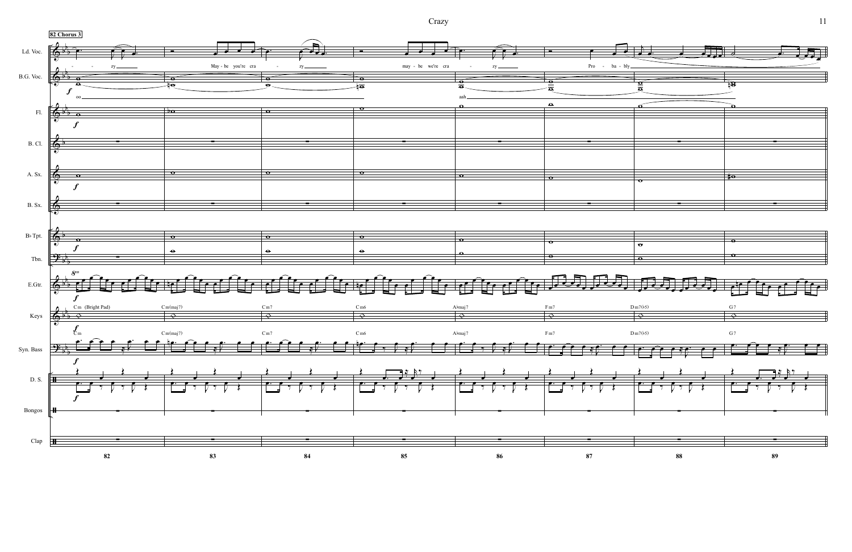